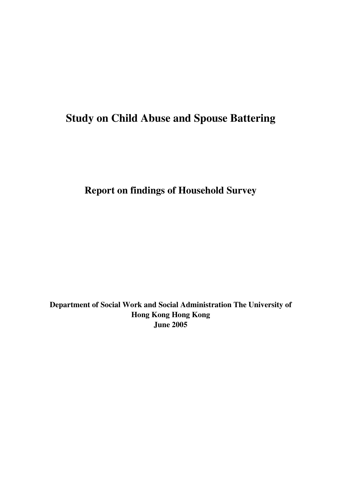# **Study on Child Abuse and Spouse Battering**

**Report on findings of Household Survey** 

**Department of Social Work and Social Administration The University of Hong Kong Hong Kong June 2005**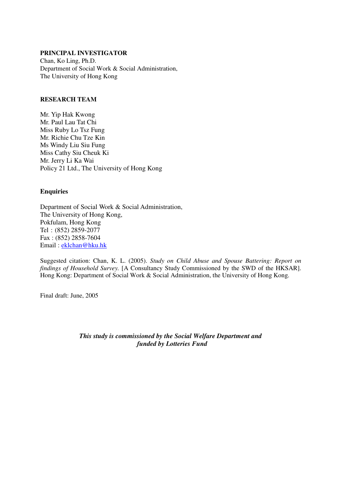#### **PRINCIPAL INVESTIGATOR**

Chan, Ko Ling, Ph.D. Department of Social Work & Social Administration, The University of Hong Kong

#### **RESEARCH TEAM**

Mr. Yip Hak Kwong Mr. Paul Lau Tat Chi Miss Ruby Lo Tsz Fung Mr. Richie Chu Tze Kin Ms Windy Liu Siu Fung Miss Cathy Siu Cheuk Ki Mr. Jerry Li Ka Wai Policy 21 Ltd., The University of Hong Kong

#### **Enquiries**

Department of Social Work & Social Administration, The University of Hong Kong, Pokfulam, Hong Kong Tel : (852) 2859-2077 Fax : (852) 2858-7604 Email : eklchan@hku.hk

Suggested citation: Chan, K. L. (2005). *Study on Child Abuse and Spouse Battering: Report on findings of Household Survey.* [A Consultancy Study Commissioned by the SWD of the HKSAR]. Hong Kong: Department of Social Work & Social Administration, the University of Hong Kong.

Final draft: June, 2005

*This study is commissioned by the Social Welfare Department and funded by Lotteries Fund*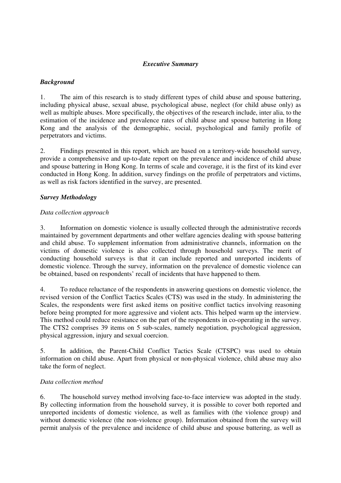#### *Executive Summary*

# *Background*

1. The aim of this research is to study different types of child abuse and spouse battering, including physical abuse, sexual abuse, psychological abuse, neglect (for child abuse only) as well as multiple abuses. More specifically, the objectives of the research include, inter alia, to the estimation of the incidence and prevalence rates of child abuse and spouse battering in Hong Kong and the analysis of the demographic, social, psychological and family profile of perpetrators and victims.

2. Findings presented in this report, which are based on a territory-wide household survey, provide a comprehensive and up-to-date report on the prevalence and incidence of child abuse and spouse battering in Hong Kong. In terms of scale and coverage, it is the first of its kind ever conducted in Hong Kong. In addition, survey findings on the profile of perpetrators and victims, as well as risk factors identified in the survey, are presented.

# *Survey Methodology*

# *Data collection approach*

3. Information on domestic violence is usually collected through the administrative records maintained by government departments and other welfare agencies dealing with spouse battering and child abuse. To supplement information from administrative channels, information on the victims of domestic violence is also collected through household surveys. The merit of conducting household surveys is that it can include reported and unreported incidents of domestic violence. Through the survey, information on the prevalence of domestic violence can be obtained, based on respondents' recall of incidents that have happened to them.

4. To reduce reluctance of the respondents in answering questions on domestic violence, the revised version of the Conflict Tactics Scales (CTS) was used in the study. In administering the Scales, the respondents were first asked items on positive conflict tactics involving reasoning before being prompted for more aggressive and violent acts. This helped warm up the interview. This method could reduce resistance on the part of the respondents in co-operating in the survey. The CTS2 comprises 39 items on 5 sub-scales, namely negotiation, psychological aggression, physical aggression, injury and sexual coercion.

5. In addition, the Parent-Child Conflict Tactics Scale (CTSPC) was used to obtain information on child abuse. Apart from physical or non-physical violence, child abuse may also take the form of neglect.

#### *Data collection method*

6. The household survey method involving face-to-face interview was adopted in the study. By collecting information from the household survey, it is possible to cover both reported and unreported incidents of domestic violence, as well as families with (the violence group) and without domestic violence (the non-violence group). Information obtained from the survey will permit analysis of the prevalence and incidence of child abuse and spouse battering, as well as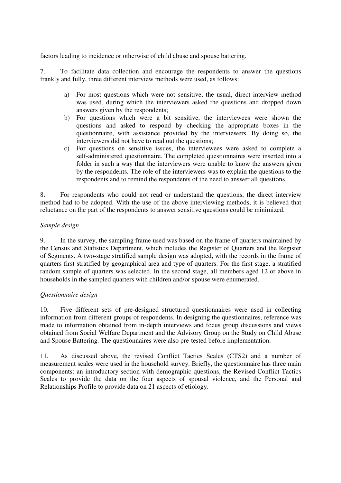factors leading to incidence or otherwise of child abuse and spouse battering.

7. To facilitate data collection and encourage the respondents to answer the questions frankly and fully, three different interview methods were used, as follows:

- a) For most questions which were not sensitive, the usual, direct interview method was used, during which the interviewers asked the questions and dropped down answers given by the respondents;
- b) For questions which were a bit sensitive, the interviewees were shown the questions and asked to respond by checking the appropriate boxes in the questionnaire, with assistance provided by the interviewers. By doing so, the interviewers did not have to read out the questions;
- c) For questions on sensitive issues, the interviewees were asked to complete a self-administered questionnaire. The completed questionnaires were inserted into a folder in such a way that the interviewers were unable to know the answers given by the respondents. The role of the interviewers was to explain the questions to the respondents and to remind the respondents of the need to answer all questions.

8. For respondents who could not read or understand the questions, the direct interview method had to be adopted. With the use of the above interviewing methods, it is believed that reluctance on the part of the respondents to answer sensitive questions could be minimized.

# *Sample design*

9. In the survey, the sampling frame used was based on the frame of quarters maintained by the Census and Statistics Department, which includes the Register of Quarters and the Register of Segments. A two-stage stratified sample design was adopted, with the records in the frame of quarters first stratified by geographical area and type of quarters. For the first stage, a stratified random sample of quarters was selected. In the second stage, all members aged 12 or above in households in the sampled quarters with children and/or spouse were enumerated.

#### *Questionnaire design*

10. Five different sets of pre-designed structured questionnaires were used in collecting information from different groups of respondents. In designing the questionnaires, reference was made to information obtained from in-depth interviews and focus group discussions and views obtained from Social Welfare Department and the Advisory Group on the Study on Child Abuse and Spouse Battering. The questionnaires were also pre-tested before implementation.

11. As discussed above, the revised Conflict Tactics Scales (CTS2) and a number of measurement scales were used in the household survey. Briefly, the questionnaire has three main components: an introductory section with demographic questions, the Revised Conflict Tactics Scales to provide the data on the four aspects of spousal violence, and the Personal and Relationships Profile to provide data on 21 aspects of etiology.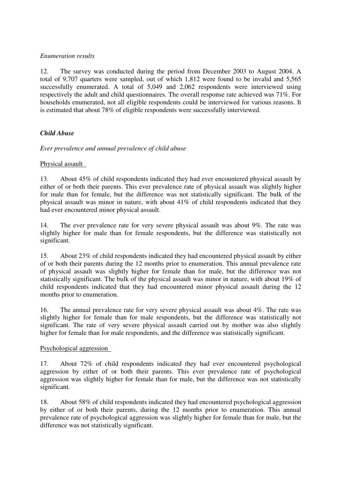# *Enumeration results*

12. The survey was conducted during the period from December 2003 to August 2004. A total of 9,707 quarters were sampled, out of which 1,812 were found to be invalid and 5,565 successfully enumerated. A total of 5,049 and 2,062 respondents were interviewed using respectively the adult and child questionnaires. The overall response rate achieved was 71%. For households enumerated, not all eligible respondents could be interviewed for various reasons. It is estimated that about 78% of eligible respondents were successfully interviewed.

# *Child Abuse*

*Ever prevalence and annual prevalence of child abuse* 

# Physical assault

13. About 45% of child respondents indicated they had ever encountered physical assault by either of or both their parents. This ever prevalence rate of physical assault was slightly higher for male than for female, but the difference was not statistically significant. The bulk of the physical assault was minor in nature, with about 41% of child respondents indicated that they had ever encountered minor physical assault.

14. The ever prevalence rate for very severe physical assault was about 9%. The rate was slightly higher for male than for female respondents, but the difference was statistically not significant.

15. About 23% of child respondents indicated they had encountered physical assault by either of or both their parents during the 12 months prior to enumeration. This annual prevalence rate of physical assault was slightly higher for female than for male, but the difference was not statistically significant. The bulk of the physical assault was minor in nature, with about 19% of child respondents indicated that they had encountered minor physical assault during the 12 months prior to enumeration.

16. The annual prevalence rate for very severe physical assault was about 4%. The rate was slightly higher for female than for male respondents, but the difference was statistically not significant. The rate of very severe physical assault carried out by mother was also slightly higher for female than for male respondents, and the difference was statistically significant.

#### Psychological aggression

17. About 72% of child respondents indicated they had ever encountered psychological aggression by either of or both their parents. This ever prevalence rate of psychological aggression was slightly higher for female than for male, but the difference was not statistically significant.

18. About 58% of child respondents indicated they had encountered psychological aggression by either of or both their parents, during the 12 months prior to enumeration. This annual prevalence rate of psychological aggression was slightly higher for female than for male, but the difference was not statistically significant.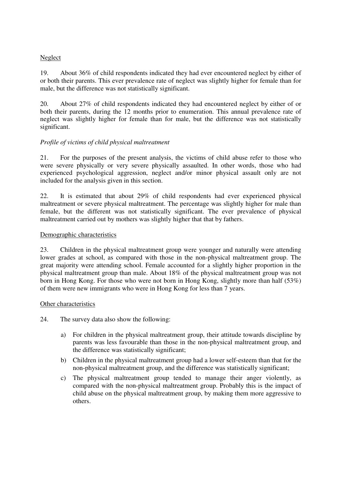# Neglect

19. About 36% of child respondents indicated they had ever encountered neglect by either of or both their parents. This ever prevalence rate of neglect was slightly higher for female than for male, but the difference was not statistically significant.

20. About 27% of child respondents indicated they had encountered neglect by either of or both their parents, during the 12 months prior to enumeration. This annual prevalence rate of neglect was slightly higher for female than for male, but the difference was not statistically significant.

# *Profile of victims of child physical maltreatment*

21. For the purposes of the present analysis, the victims of child abuse refer to those who were severe physically or very severe physically assaulted. In other words, those who had experienced psychological aggression, neglect and/or minor physical assault only are not included for the analysis given in this section.

22. It is estimated that about 29% of child respondents had ever experienced physical maltreatment or severe physical maltreatment. The percentage was slightly higher for male than female, but the different was not statistically significant. The ever prevalence of physical maltreatment carried out by mothers was slightly higher that that by fathers.

#### Demographic characteristics

23. Children in the physical maltreatment group were younger and naturally were attending lower grades at school, as compared with those in the non-physical maltreatment group. The great majority were attending school. Female accounted for a slightly higher proportion in the physical maltreatment group than male. About 18% of the physical maltreatment group was not born in Hong Kong. For those who were not born in Hong Kong, slightly more than half (53%) of them were new immigrants who were in Hong Kong for less than 7 years.

#### Other characteristics

24. The survey data also show the following:

- a) For children in the physical maltreatment group, their attitude towards discipline by parents was less favourable than those in the non-physical maltreatment group, and the difference was statistically significant;
- b) Children in the physical maltreatment group had a lower self-esteem than that for the non-physical maltreatment group, and the difference was statistically significant;
- c) The physical maltreatment group tended to manage their anger violently, as compared with the non-physical maltreatment group. Probably this is the impact of child abuse on the physical maltreatment group, by making them more aggressive to others.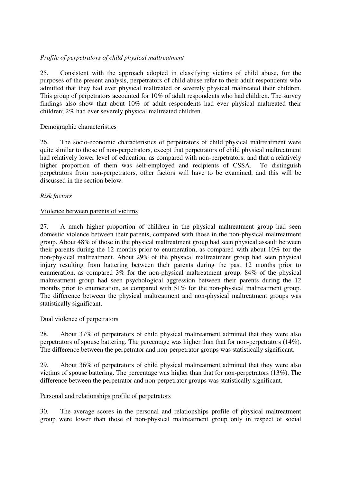# *Profile of perpetrators of child physical maltreatment*

25. Consistent with the approach adopted in classifying victims of child abuse, for the purposes of the present analysis, perpetrators of child abuse refer to their adult respondents who admitted that they had ever physical maltreated or severely physical maltreated their children. This group of perpetrators accounted for 10% of adult respondents who had children. The survey findings also show that about 10% of adult respondents had ever physical maltreated their children; 2% had ever severely physical maltreated children.

# Demographic characteristics

26. The socio-economic characteristics of perpetrators of child physical maltreatment were quite similar to those of non-perpetrators, except that perpetrators of child physical maltreatment had relatively lower level of education, as compared with non-perpetrators; and that a relatively higher proportion of them was self-employed and recipients of CSSA. To distinguish perpetrators from non-perpetrators, other factors will have to be examined, and this will be discussed in the section below.

# *Risk factors*

# Violence between parents of victims

27. A much higher proportion of children in the physical maltreatment group had seen domestic violence between their parents, compared with those in the non-physical maltreatment group. About 48% of those in the physical maltreatment group had seen physical assault between their parents during the 12 months prior to enumeration, as compared with about 10% for the non-physical maltreatment. About 29% of the physical maltreatment group had seen physical injury resulting from battering between their parents during the past 12 months prior to enumeration, as compared 3% for the non-physical maltreatment group. 84% of the physical maltreatment group had seen psychological aggression between their parents during the 12 months prior to enumeration, as compared with 51% for the non-physical maltreatment group. The difference between the physical maltreatment and non-physical maltreatment groups was statistically significant.

#### Dual violence of perpetrators

28. About 37% of perpetrators of child physical maltreatment admitted that they were also perpetrators of spouse battering. The percentage was higher than that for non-perpetrators (14%). The difference between the perpetrator and non-perpetrator groups was statistically significant.

29. About 36% of perpetrators of child physical maltreatment admitted that they were also victims of spouse battering. The percentage was higher than that for non-perpetrators (13%). The difference between the perpetrator and non-perpetrator groups was statistically significant.

#### Personal and relationships profile of perpetrators

30. The average scores in the personal and relationships profile of physical maltreatment group were lower than those of non-physical maltreatment group only in respect of social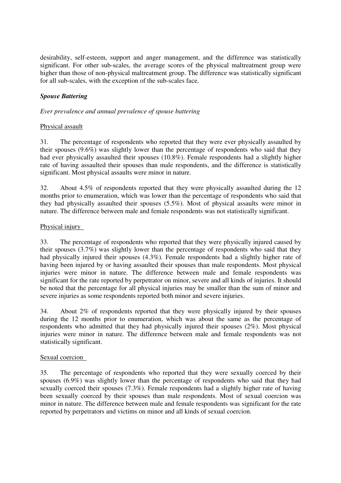desirability, self-esteem, support and anger management, and the difference was statistically significant. For other sub-scales, the average scores of the physical maltreatment group were higher than those of non-physical maltreatment group. The difference was statistically significant for all sub-scales, with the exception of the sub-scales face.

# *Spouse Battering*

# *Ever prevalence and annual prevalence of spouse battering*

# Physical assault

31. The percentage of respondents who reported that they were ever physically assaulted by their spouses (9.6%) was slightly lower than the percentage of respondents who said that they had ever physically assaulted their spouses (10.8%). Female respondents had a slightly higher rate of having assaulted their spouses than male respondents, and the difference is statistically significant. Most physical assaults were minor in nature.

32. About 4.5% of respondents reported that they were physically assaulted during the 12 months prior to enumeration, which was lower than the percentage of respondents who said that they had physically assaulted their spouses (5.5%). Most of physical assaults were minor in nature. The difference between male and female respondents was not statistically significant.

# Physical injury

33. The percentage of respondents who reported that they were physically injured caused by their spouses (3.7%) was slightly lower than the percentage of respondents who said that they had physically injured their spouses (4.3%). Female respondents had a slightly higher rate of having been injured by or having assaulted their spouses than male respondents. Most physical injuries were minor in nature. The difference between male and female respondents was significant for the rate reported by perpetrator on minor, severe and all kinds of injuries. It should be noted that the percentage for all physical injuries may be smaller than the sum of minor and severe injuries as some respondents reported both minor and severe injuries.

34. About 2% of respondents reported that they were physically injured by their spouses during the 12 months prior to enumeration, which was about the same as the percentage of respondents who admitted that they had physically injured their spouses (2%). Most physical injuries were minor in nature. The difference between male and female respondents was not statistically significant.

#### Sexual coercion

35. The percentage of respondents who reported that they were sexually coerced by their spouses (6.9%) was slightly lower than the percentage of respondents who said that they had sexually coerced their spouses (7.3%). Female respondents had a slightly higher rate of having been sexually coerced by their spouses than male respondents. Most of sexual coercion was minor in nature. The difference between male and female respondents was significant for the rate reported by perpetrators and victims on minor and all kinds of sexual coercion.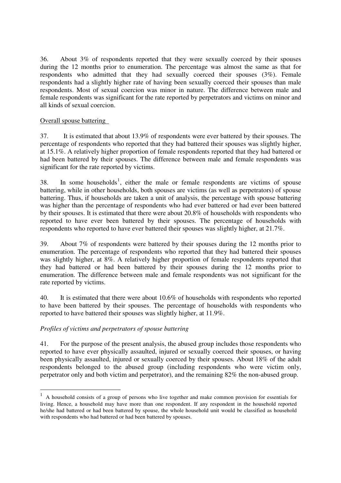36. About 3% of respondents reported that they were sexually coerced by their spouses during the 12 months prior to enumeration. The percentage was almost the same as that for respondents who admitted that they had sexually coerced their spouses (3%). Female respondents had a slightly higher rate of having been sexually coerced their spouses than male respondents. Most of sexual coercion was minor in nature. The difference between male and female respondents was significant for the rate reported by perpetrators and victims on minor and all kinds of sexual coercion.

# Overall spouse battering

37. It is estimated that about 13.9% of respondents were ever battered by their spouses. The percentage of respondents who reported that they had battered their spouses was slightly higher, at 15.1%. A relatively higher proportion of female respondents reported that they had battered or had been battered by their spouses. The difference between male and female respondents was significant for the rate reported by victims.

38. In some households<sup>1</sup>, either the male or female respondents are victims of spouse battering, while in other households, both spouses are victims (as well as perpetrators) of spouse battering. Thus, if households are taken a unit of analysis, the percentage with spouse battering was higher than the percentage of respondents who had ever battered or had ever been battered by their spouses. It is estimated that there were about 20.8% of households with respondents who reported to have ever been battered by their spouses. The percentage of households with respondents who reported to have ever battered their spouses was slightly higher, at 21.7%.

39. About 7% of respondents were battered by their spouses during the 12 months prior to enumeration. The percentage of respondents who reported that they had battered their spouses was slightly higher, at 8%. A relatively higher proportion of female respondents reported that they had battered or had been battered by their spouses during the 12 months prior to enumeration. The difference between male and female respondents was not significant for the rate reported by victims.

40. It is estimated that there were about 10.6% of households with respondents who reported to have been battered by their spouses. The percentage of households with respondents who reported to have battered their spouses was slightly higher, at 11.9%.

# *Profiles of victims and perpetrators of spouse battering*

41. For the purpose of the present analysis, the abused group includes those respondents who reported to have ever physically assaulted, injured or sexually coerced their spouses, or having been physically assaulted, injured or sexually coerced by their spouses. About 18% of the adult respondents belonged to the abused group (including respondents who were victim only, perpetrator only and both victim and perpetrator), and the remaining 82% the non-abused group.

<sup>&</sup>lt;sup>1</sup> A household consists of a group of persons who live together and make common provision for essentials for living. Hence, a household may have more than one respondent. If any respondent in the household reported he/she had battered or had been battered by spouse, the whole household unit would be classified as household with respondents who had battered or had been battered by spouses.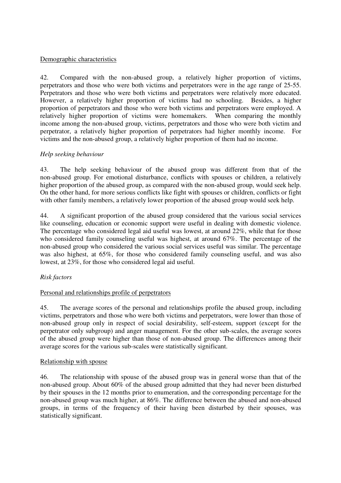# Demographic characteristics

42. Compared with the non-abused group, a relatively higher proportion of victims, perpetrators and those who were both victims and perpetrators were in the age range of 25-55. Perpetrators and those who were both victims and perpetrators were relatively more educated. However, a relatively higher proportion of victims had no schooling. Besides, a higher proportion of perpetrators and those who were both victims and perpetrators were employed. A relatively higher proportion of victims were homemakers. When comparing the monthly income among the non-abused group, victims, perpetrators and those who were both victim and perpetrator, a relatively higher proportion of perpetrators had higher monthly income. For victims and the non-abused group, a relatively higher proportion of them had no income.

# *Help seeking behaviour*

43. The help seeking behaviour of the abused group was different from that of the non-abused group. For emotional disturbance, conflicts with spouses or children, a relatively higher proportion of the abused group, as compared with the non-abused group, would seek help. On the other hand, for more serious conflicts like fight with spouses or children, conflicts or fight with other family members, a relatively lower proportion of the abused group would seek help.

44. A significant proportion of the abused group considered that the various social services like counseling, education or economic support were useful in dealing with domestic violence. The percentage who considered legal aid useful was lowest, at around 22%, while that for those who considered family counseling useful was highest, at around 67%. The percentage of the non-abused group who considered the various social services useful was similar. The percentage was also highest, at 65%, for those who considered family counseling useful, and was also lowest, at 23%, for those who considered legal aid useful.

#### *Risk factors*

#### Personal and relationships profile of perpetrators

45. The average scores of the personal and relationships profile the abused group, including victims, perpetrators and those who were both victims and perpetrators, were lower than those of non-abused group only in respect of social desirability, self-esteem, support (except for the perpetrator only subgroup) and anger management. For the other sub-scales, the average scores of the abused group were higher than those of non-abused group. The differences among their average scores for the various sub-scales were statistically significant.

#### Relationship with spouse

46. The relationship with spouse of the abused group was in general worse than that of the non-abused group. About 60% of the abused group admitted that they had never been disturbed by their spouses in the 12 months prior to enumeration, and the corresponding percentage for the non-abused group was much higher, at 86%. The difference between the abused and non-abused groups, in terms of the frequency of their having been disturbed by their spouses, was statistically significant.